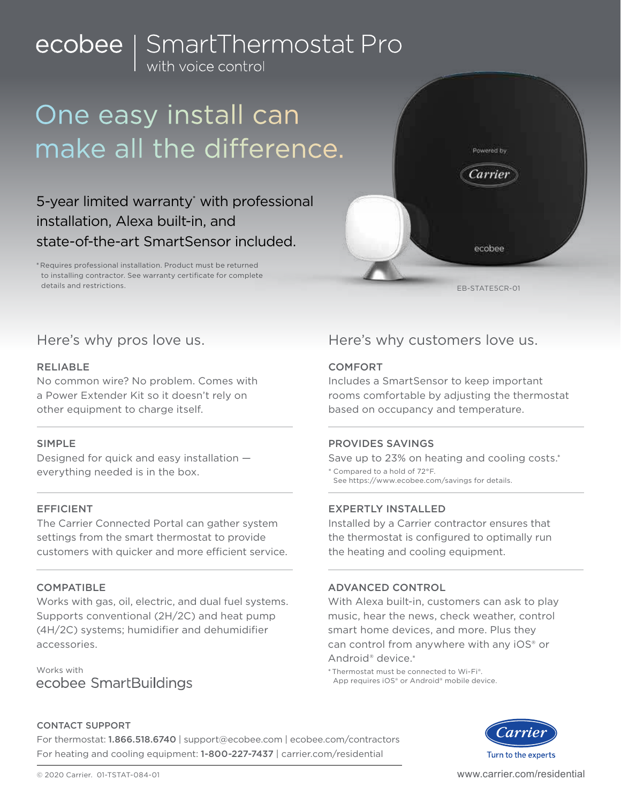# ecobee | SmartThermostat Pro

## One easy install can make all the difference.

## 5-year limited warranty<sup>\*</sup> with professional installation, Alexa built-in, and state-of-the-art SmartSensor included.

\* Requires professional installation. Product must be returned to installing contractor. See warranty certificate for complete details and restrictions.



## RELIABLE

No common wire? No problem. Comes with a Power Extender Kit so it doesn't rely on other equipment to charge itself.

## SIMPLE

Designed for quick and easy installation everything needed is in the box.

## EFFICIENT

The Carrier Connected Portal can gather system settings from the smart thermostat to provide customers with quicker and more efficient service.

## **COMPATIBLE**

Works with gas, oil, electric, and dual fuel systems. Supports conventional (2H/2C) and heat pump (4H/2C) systems; humidifier and dehumidifier accessories.

Works with ecobee SmartBuildings

## Here's why pros love us. Here's why customers love us.

## **COMFORT**

Includes a SmartSensor to keep important rooms comfortable by adjusting the thermostat based on occupancy and temperature.

## PROVIDES SAVINGS

Save up to 23% on heating and cooling costs.\* \* Compared to a hold of 72°F.

See https://www.ecobee.com/savings for details.

## EXPERTLY INSTALLED

Installed by a Carrier contractor ensures that the thermostat is configured to optimally run the heating and cooling equipment.

## ADVANCED CONTROL

With Alexa built-in, customers can ask to play music, hear the news, check weather, control smart home devices, and more. Plus they can control from anywhere with any iOS® or Android® device.\*

\* Thermostat must be connected to Wi-Fi®. App requires iOS® or Android® mobile device.



## CONTACT SUPPORT

For thermostat: 1.866.518.6740 | support@ecobee.com | ecobee.com/contractors For heating and cooling equipment: 1-800-227-7437 | carrier.com/residential

www.carrier.com/residential